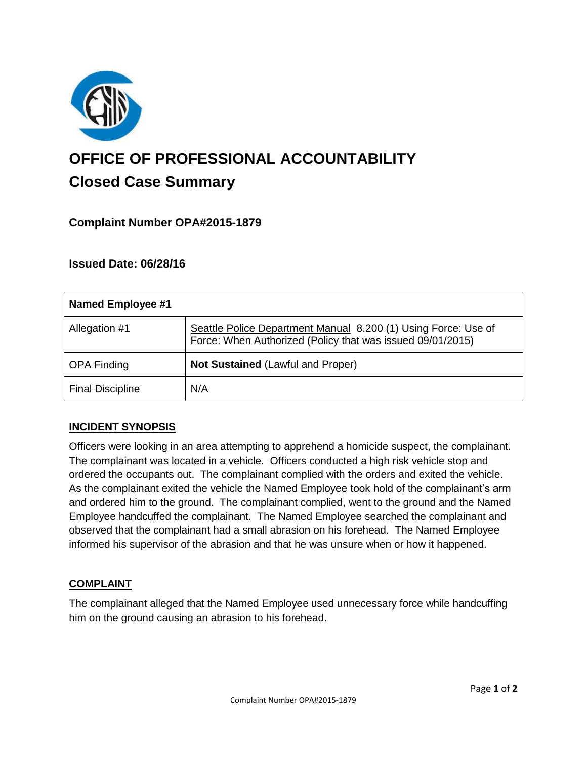

# **OFFICE OF PROFESSIONAL ACCOUNTABILITY Closed Case Summary**

## **Complaint Number OPA#2015-1879**

### **Issued Date: 06/28/16**

| Named Employee #1       |                                                                                                                              |
|-------------------------|------------------------------------------------------------------------------------------------------------------------------|
| Allegation #1           | Seattle Police Department Manual 8.200 (1) Using Force: Use of<br>Force: When Authorized (Policy that was issued 09/01/2015) |
| <b>OPA Finding</b>      | <b>Not Sustained (Lawful and Proper)</b>                                                                                     |
| <b>Final Discipline</b> | N/A                                                                                                                          |

#### **INCIDENT SYNOPSIS**

Officers were looking in an area attempting to apprehend a homicide suspect, the complainant. The complainant was located in a vehicle. Officers conducted a high risk vehicle stop and ordered the occupants out. The complainant complied with the orders and exited the vehicle. As the complainant exited the vehicle the Named Employee took hold of the complainant's arm and ordered him to the ground. The complainant complied, went to the ground and the Named Employee handcuffed the complainant. The Named Employee searched the complainant and observed that the complainant had a small abrasion on his forehead. The Named Employee informed his supervisor of the abrasion and that he was unsure when or how it happened.

#### **COMPLAINT**

The complainant alleged that the Named Employee used unnecessary force while handcuffing him on the ground causing an abrasion to his forehead.